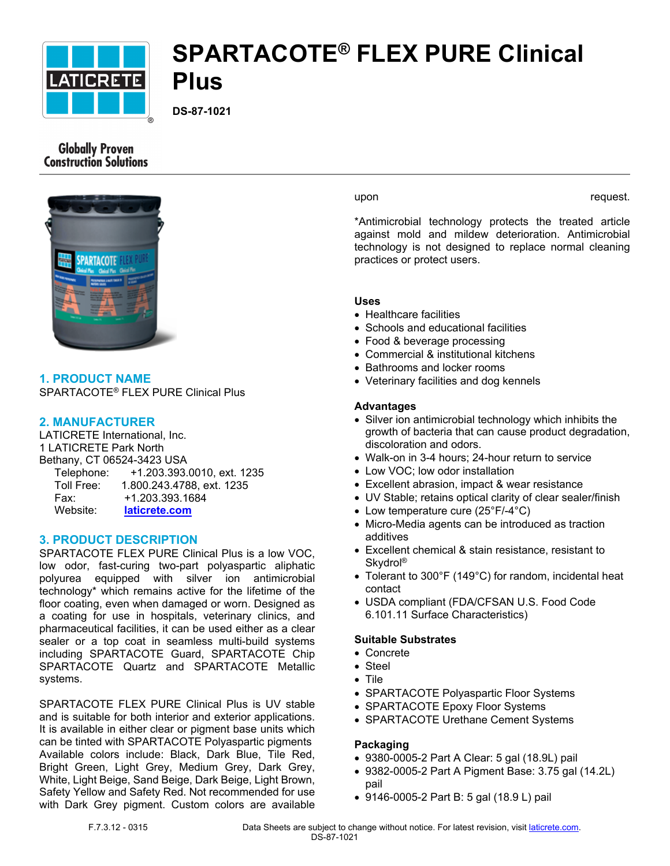

# **SPARTACOTE® FLEX PURE Clinical Plus**

**DS-87-1021**

# **Globally Proven Construction Solutions**



**1. PRODUCT NAME** SPARTACOTE® FLEX PURE Clinical Plus

# **2. MANUFACTURER**

LATICRETE International, Inc. 1 LATICRETE Park North Bethany, CT 06524-3423 USA Telephone: +1.203.393.0010, ext. 1235 Toll Free: 1.800.243.4788, ext. 1235 Fax: +1.203.393.1684 Website: **[laticrete.com](https://laticrete.com/)**

# **3. PRODUCT DESCRIPTION**

SPARTACOTE FLEX PURE Clinical Plus is a low VOC, low odor, fast-curing two-part polyaspartic aliphatic polyurea equipped with silver ion antimicrobial technology\* which remains active for the lifetime of the floor coating, even when damaged or worn. Designed as a coating for use in hospitals, veterinary clinics, and pharmaceutical facilities, it can be used either as a clear sealer or a top coat in seamless multi-build systems including SPARTACOTE Guard, SPARTACOTE Chip SPARTACOTE Quartz and SPARTACOTE Metallic systems.

SPARTACOTE FLEX PURE Clinical Plus is UV stable and is suitable for both interior and exterior applications. It is available in either clear or pigment base units which can be tinted with SPARTACOTE Polyaspartic pigments Available colors include: Black, Dark Blue, Tile Red, Bright Green, Light Grey, Medium Grey, Dark Grey, White, Light Beige, Sand Beige, Dark Beige, Light Brown, Safety Yellow and Safety Red. Not recommended for use with Dark Grey pigment. Custom colors are available

upon request.

\*Antimicrobial technology protects the treated article against mold and mildew deterioration. Antimicrobial technology is not designed to replace normal cleaning practices or protect users.

# **Uses**

- Healthcare facilities
- Schools and educational facilities
- Food & beverage processing
- Commercial & institutional kitchens
- Bathrooms and locker rooms
- Veterinary facilities and dog kennels

# **Advantages**

- Silver ion antimicrobial technology which inhibits the growth of bacteria that can cause product degradation, discoloration and odors.
- Walk-on in 3-4 hours; 24-hour return to service
- Low VOC; low odor installation
- Excellent abrasion, impact & wear resistance
- UV Stable; retains optical clarity of clear sealer/finish
- Low temperature cure (25°F/-4°C)
- Micro-Media agents can be introduced as traction additives
- Excellent chemical & stain resistance, resistant to Skydrol®
- Tolerant to 300°F (149°C) for random, incidental heat contact
- USDA compliant (FDA/CFSAN U.S. Food Code 6.101.11 Surface Characteristics)

# **Suitable Substrates**

- Concrete
- Steel
- Tile
- SPARTACOTE Polyaspartic Floor Systems
- SPARTACOTE Epoxy Floor Systems
- SPARTACOTE Urethane Cement Systems

# **Packaging**

- 9380-0005-2 Part A Clear: 5 gal (18.9L) pail
- 9382-0005-2 Part A Pigment Base: 3.75 gal (14.2L) pail
- 9146-0005-2 Part B: 5 gal (18.9 L) pail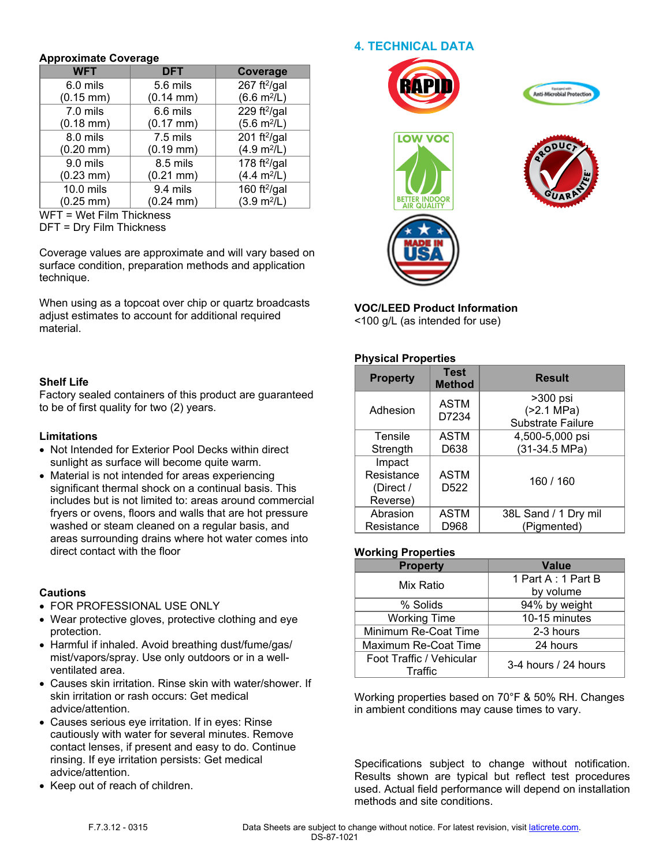#### **Approximate Coverage**

| 72 P S<br><b>WFT</b>  | <b>DFT</b>            | <b>Coverage</b>              |  |
|-----------------------|-----------------------|------------------------------|--|
| 6.0 mils              | 5.6 mils              | 267 ft $^{2}/$ gal           |  |
| $(0.15 \, \text{mm})$ | $(0.14 \text{ mm})$   | $(6.6 \text{ m}^2/\text{L})$ |  |
| 7.0 mils              | 6.6 mils              | 229 ft $^{2}/$ gal           |  |
| $(0.18$ mm $)$        | $(0.17 \, \text{mm})$ | $(5.6 \text{ m}^2/\text{L})$ |  |
| 8.0 mils              | 7.5 mils              | 201 ft $^{2}/$ gal           |  |
| $(0.20$ mm $)$        | $(0.19 \text{ mm})$   | (4.9 m <sup>2</sup> /L)      |  |
| 9.0 mils              | 8.5 mils              | 178 ft $^{2}/$ gal           |  |
| $(0.23 \text{ mm})$   | $(0.21$ mm $)$        | $(4.4 \text{ m}^2/\text{L})$ |  |
| 10.0 mils             | 9.4 mils              | 160 ft $^{2}/$ gal           |  |
| $(0.25 \text{ mm})$   | $(0.24 \text{ mm})$   | (3.9 m <sup>2</sup> /L)      |  |

WFT = Wet Film Thickness

DFT = Dry Film Thickness

Coverage values are approximate and will vary based on surface condition, preparation methods and application technique.

When using as a topcoat over chip or quartz broadcasts adjust estimates to account for additional required material.

# **Shelf Life**

Factory sealed containers of this product are guaranteed to be of first quality for two (2) years.

#### **Limitations**

- Not Intended for Exterior Pool Decks within direct sunlight as surface will become quite warm.
- Material is not intended for areas experiencing significant thermal shock on a continual basis. This includes but is not limited to: areas around commercial fryers or ovens, floors and walls that are hot pressure washed or steam cleaned on a regular basis, and areas surrounding drains where hot water comes into direct contact with the floor

#### **Cautions**

- FOR PROFESSIONAL USE ONLY
- Wear protective gloves, protective clothing and eye protection.
- Harmful if inhaled. Avoid breathing dust/fume/gas/ mist/vapors/spray. Use only outdoors or in a wellventilated area.
- Causes skin irritation. Rinse skin with water/shower. If skin irritation or rash occurs: Get medical advice/attention.
- Causes serious eye irritation. If in eyes: Rinse cautiously with water for several minutes. Remove contact lenses, if present and easy to do. Continue rinsing. If eye irritation persists: Get medical advice/attention.
- Keep out of reach of children.













**VOC/LEED Product Information**

<100 g/L (as intended for use)

# **Physical Properties**

| <b>Property</b>                               | <b>Test</b><br><b>Method</b>    | <b>Result</b>                                        |
|-----------------------------------------------|---------------------------------|------------------------------------------------------|
| Adhesion                                      | <b>ASTM</b><br>D7234            | >300 psi<br>( > 2.1 MPa)<br><b>Substrate Failure</b> |
| Tensile<br>Strength                           | <b>ASTM</b><br>D638             | 4,500-5,000 psi<br>(31-34.5 MPa)                     |
| Impact<br>Resistance<br>(Direct /<br>Reverse) | <b>ASTM</b><br>D <sub>522</sub> | 160 / 160                                            |
| Abrasion<br>Resistance                        | <b>ASTM</b><br>D968             | 38L Sand / 1 Dry mil<br>(Pigmented)                  |

# **Working Properties**

| <b>Property</b>          | Value                |
|--------------------------|----------------------|
| Mix Ratio                | 1 Part A: 1 Part B   |
|                          | by volume            |
| % Solids                 | 94% by weight        |
| <b>Working Time</b>      | 10-15 minutes        |
| Minimum Re-Coat Time     | 2-3 hours            |
| Maximum Re-Coat Time     | 24 hours             |
| Foot Traffic / Vehicular | 3-4 hours / 24 hours |
| Traffic                  |                      |

Working properties based on 70°F & 50% RH. Changes in ambient conditions may cause times to vary.

Specifications subject to change without notification. Results shown are typical but reflect test procedures used. Actual field performance will depend on installation methods and site conditions.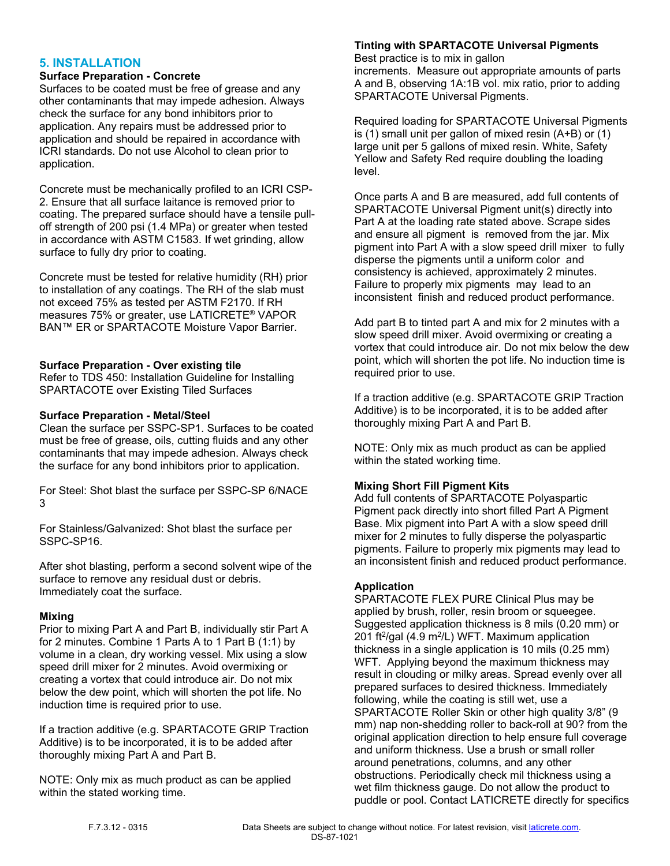# **5. INSTALLATION**

#### **Surface Preparation - Concrete**

Surfaces to be coated must be free of grease and any other contaminants that may impede adhesion. Always check the surface for any bond inhibitors prior to application. Any repairs must be addressed prior to application and should be repaired in accordance with ICRI standards. Do not use Alcohol to clean prior to application.

Concrete must be mechanically profiled to an ICRI CSP-2. Ensure that all surface laitance is removed prior to coating. The prepared surface should have a tensile pulloff strength of 200 psi (1.4 MPa) or greater when tested in accordance with ASTM C1583. If wet grinding, allow surface to fully dry prior to coating.

Concrete must be tested for relative humidity (RH) prior to installation of any coatings. The RH of the slab must not exceed 75% as tested per ASTM F2170. If RH measures 75% or greater, use LATICRETE® VAPOR BAN™ ER or SPARTACOTE Moisture Vapor Barrier.

#### **Surface Preparation - Over existing tile**

Refer to TDS 450: Installation Guideline for Installing SPARTACOTE over Existing Tiled Surfaces

#### **Surface Preparation - Metal/Steel**

Clean the surface per SSPC-SP1. Surfaces to be coated must be free of grease, oils, cutting fluids and any other contaminants that may impede adhesion. Always check the surface for any bond inhibitors prior to application.

For Steel: Shot blast the surface per SSPC-SP 6/NACE 3

For Stainless/Galvanized: Shot blast the surface per SSPC-SP16.

After shot blasting, perform a second solvent wipe of the surface to remove any residual dust or debris. Immediately coat the surface.

#### **Mixing**

Prior to mixing Part A and Part B, individually stir Part A for 2 minutes. Combine 1 Parts A to 1 Part B (1:1) by volume in a clean, dry working vessel. Mix using a slow speed drill mixer for 2 minutes. Avoid overmixing or creating a vortex that could introduce air. Do not mix below the dew point, which will shorten the pot life. No induction time is required prior to use.

If a traction additive (e.g. SPARTACOTE GRIP Traction Additive) is to be incorporated, it is to be added after thoroughly mixing Part A and Part B.

NOTE: Only mix as much product as can be applied within the stated working time.

#### **Tinting with SPARTACOTE Universal Pigments**

Best practice is to mix in gallon increments. Measure out appropriate amounts of parts A and B, observing 1A:1B vol. mix ratio, prior to adding SPARTACOTE Universal Pigments.

Required loading for SPARTACOTE Universal Pigments is (1) small unit per gallon of mixed resin (A+B) or (1) large unit per 5 gallons of mixed resin. White, Safety Yellow and Safety Red require doubling the loading level.

Once parts A and B are measured, add full contents of SPARTACOTE Universal Pigment unit(s) directly into Part A at the loading rate stated above. Scrape sides and ensure all pigment is removed from the jar. Mix pigment into Part A with a slow speed drill mixer to fully disperse the pigments until a uniform color and consistency is achieved, approximately 2 minutes. Failure to properly mix pigments may lead to an inconsistent finish and reduced product performance.

Add part B to tinted part A and mix for 2 minutes with a slow speed drill mixer. Avoid overmixing or creating a vortex that could introduce air. Do not mix below the dew point, which will shorten the pot life. No induction time is required prior to use.

If a traction additive (e.g. SPARTACOTE GRIP Traction Additive) is to be incorporated, it is to be added after thoroughly mixing Part A and Part B.

NOTE: Only mix as much product as can be applied within the stated working time.

# **Mixing Short Fill Pigment Kits**

Add full contents of SPARTACOTE Polyaspartic Pigment pack directly into short filled Part A Pigment Base. Mix pigment into Part A with a slow speed drill mixer for 2 minutes to fully disperse the polyaspartic pigments. Failure to properly mix pigments may lead to an inconsistent finish and reduced product performance.

#### **Application**

SPARTACOTE FLEX PURE Clinical Plus may be applied by brush, roller, resin broom or squeegee. Suggested application thickness is 8 mils (0.20 mm) or 201 ft<sup>2</sup>/gal (4.9 m<sup>2</sup>/L) WFT. Maximum application thickness in a single application is 10 mils (0.25 mm) WFT. Applying beyond the maximum thickness may result in clouding or milky areas. Spread evenly over all prepared surfaces to desired thickness. Immediately following, while the coating is still wet, use a SPARTACOTE Roller Skin or other high quality 3/8" (9 mm) nap non-shedding roller to back-roll at 90? from the original application direction to help ensure full coverage and uniform thickness. Use a brush or small roller around penetrations, columns, and any other obstructions. Periodically check mil thickness using a wet film thickness gauge. Do not allow the product to puddle or pool. Contact LATICRETE directly for specifics